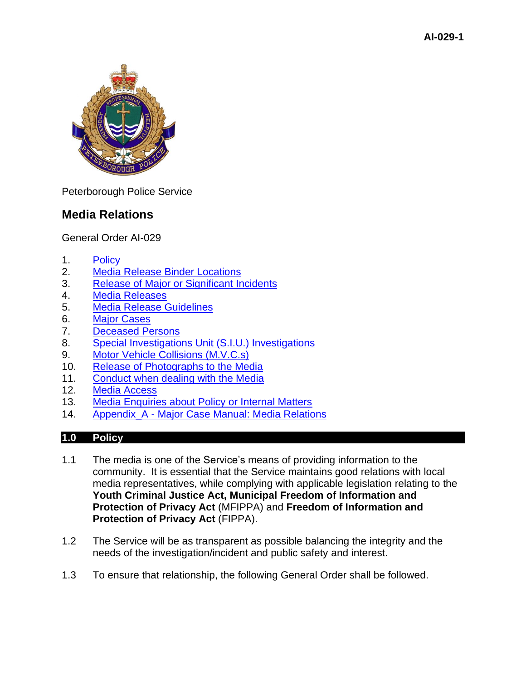

Peterborough Police Service

# **Media Relations**

General Order AI-029

- 1. [Policy](#page-0-0)
- 2. [Media Release Binder Locations](#page-1-0)
- 3. [Release of Major or Significant Incidents](#page-1-1)
- 4. [Media Releases](#page-1-2)
- 5. [Media Release Guidelines](#page-2-0)
- 6. [Major Cases](#page-6-0)
- 7. [Deceased Persons](#page-7-0)
- 8. [Special Investigations Unit \(S.I.U.\) Investigations](#page-7-1)
- 9. [Motor Vehicle Collisions \(M.V.C.s\)](#page-7-2)
- 10. [Release of Photographs to the Media](#page-7-3)
- 11. [Conduct when dealing with the Media](#page-8-0)
- 12. [Media Access](#page-9-0)
- 13. [Media Enquiries about Policy or Internal Matters](#page-9-1)
- 14. Appendix\_A [Major Case Manual: Media Relations](#page-11-0)

# <span id="page-0-0"></span>**1.0 Policy**

- 1.1 The media is one of the Service's means of providing information to the community. It is essential that the Service maintains good relations with local media representatives, while complying with applicable legislation relating to the **Youth Criminal Justice Act, Municipal Freedom of Information and Protection of Privacy Act** (MFIPPA) and **Freedom of Information and Protection of Privacy Act** (FIPPA).
- 1.2 The Service will be as transparent as possible balancing the integrity and the needs of the investigation/incident and public safety and interest.
- 1.3 To ensure that relationship, the following General Order shall be followed.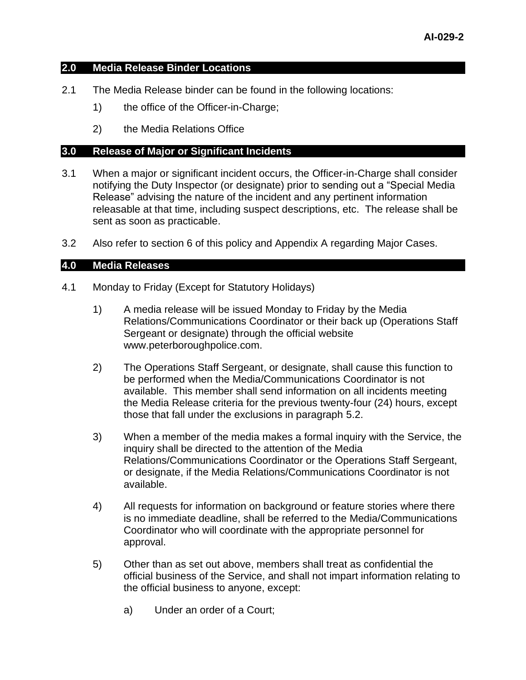#### <span id="page-1-0"></span>**2.0 Media Release Binder Locations**

- 2.1 The Media Release binder can be found in the following locations:
	- 1) the office of the Officer-in-Charge;
	- 2) the Media Relations Office

#### <span id="page-1-1"></span>**3.0 Release of Major or Significant Incidents**

- 3.1 When a major or significant incident occurs, the Officer-in-Charge shall consider notifying the Duty Inspector (or designate) prior to sending out a "Special Media Release" advising the nature of the incident and any pertinent information releasable at that time, including suspect descriptions, etc. The release shall be sent as soon as practicable.
- 3.2 Also refer to section 6 of this policy and Appendix A regarding Major Cases.

## <span id="page-1-2"></span>**4.0 Media Releases**

- 4.1 Monday to Friday (Except for Statutory Holidays)
	- 1) A media release will be issued Monday to Friday by the Media Relations/Communications Coordinator or their back up (Operations Staff Sergeant or designate) through the official website www.peterboroughpolice.com.
	- 2) The Operations Staff Sergeant, or designate, shall cause this function to be performed when the Media/Communications Coordinator is not available. This member shall send information on all incidents meeting the Media Release criteria for the previous twenty-four (24) hours, except those that fall under the exclusions in paragraph 5.2.
	- 3) When a member of the media makes a formal inquiry with the Service, the inquiry shall be directed to the attention of the Media Relations/Communications Coordinator or the Operations Staff Sergeant, or designate, if the Media Relations/Communications Coordinator is not available.
	- 4) All requests for information on background or feature stories where there is no immediate deadline, shall be referred to the Media/Communications Coordinator who will coordinate with the appropriate personnel for approval.
	- 5) Other than as set out above, members shall treat as confidential the official business of the Service, and shall not impart information relating to the official business to anyone, except:
		- a) Under an order of a Court;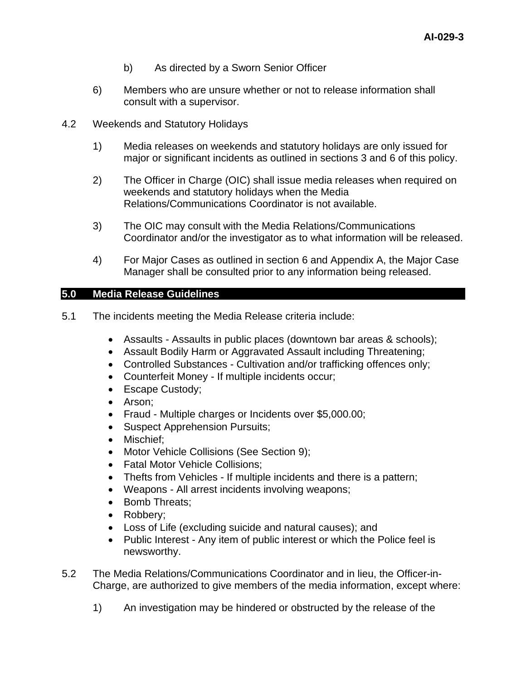- b) As directed by a Sworn Senior Officer
- 6) Members who are unsure whether or not to release information shall consult with a supervisor.
- 4.2 Weekends and Statutory Holidays
	- 1) Media releases on weekends and statutory holidays are only issued for major or significant incidents as outlined in sections 3 and 6 of this policy.
	- 2) The Officer in Charge (OIC) shall issue media releases when required on weekends and statutory holidays when the Media Relations/Communications Coordinator is not available.
	- 3) The OIC may consult with the Media Relations/Communications Coordinator and/or the investigator as to what information will be released.
	- 4) For Major Cases as outlined in section 6 and Appendix A, the Major Case Manager shall be consulted prior to any information being released.

# <span id="page-2-0"></span>**5.0 Media Release Guidelines**

- 5.1 The incidents meeting the Media Release criteria include:
	- Assaults Assaults in public places (downtown bar areas & schools);
	- Assault Bodily Harm or Aggravated Assault including Threatening;
	- Controlled Substances Cultivation and/or trafficking offences only;
	- Counterfeit Money If multiple incidents occur;
	- Escape Custody;
	- Arson;
	- Fraud Multiple charges or Incidents over \$5,000.00;
	- Suspect Apprehension Pursuits;
	- Mischief;
	- Motor Vehicle Collisions (See Section 9);
	- Fatal Motor Vehicle Collisions;
	- Thefts from Vehicles If multiple incidents and there is a pattern;
	- Weapons All arrest incidents involving weapons;
	- Bomb Threats;
	- Robbery;
	- Loss of Life (excluding suicide and natural causes); and
	- Public Interest Any item of public interest or which the Police feel is newsworthy.
- 5.2 The Media Relations/Communications Coordinator and in lieu, the Officer-in-Charge, are authorized to give members of the media information, except where:
	- 1) An investigation may be hindered or obstructed by the release of the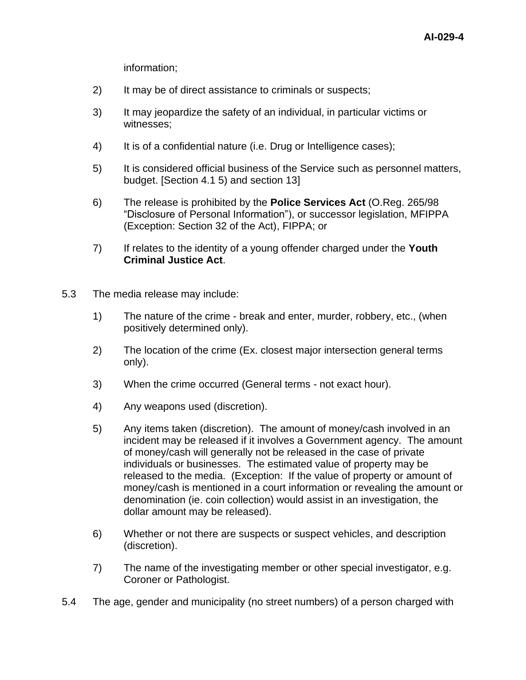information;

- 2) It may be of direct assistance to criminals or suspects;
- 3) It may jeopardize the safety of an individual, in particular victims or witnesses;
- 4) It is of a confidential nature (i.e. Drug or Intelligence cases);
- 5) It is considered official business of the Service such as personnel matters, budget. [Section 4.1 5) and section 13]
- 6) The release is prohibited by the **Police Services Act** (O.Reg. 265/98 "Disclosure of Personal Information"), or successor legislation, MFIPPA (Exception: Section 32 of the Act), FIPPA; or
- 7) If relates to the identity of a young offender charged under the **Youth Criminal Justice Act**.
- 5.3 The media release may include:
	- 1) The nature of the crime break and enter, murder, robbery, etc., (when positively determined only).
	- 2) The location of the crime (Ex. closest major intersection general terms only).
	- 3) When the crime occurred (General terms not exact hour).
	- 4) Any weapons used (discretion).
	- 5) Any items taken (discretion). The amount of money/cash involved in an incident may be released if it involves a Government agency. The amount of money/cash will generally not be released in the case of private individuals or businesses. The estimated value of property may be released to the media. (Exception: If the value of property or amount of money/cash is mentioned in a court information or revealing the amount or denomination (ie. coin collection) would assist in an investigation, the dollar amount may be released).
	- 6) Whether or not there are suspects or suspect vehicles, and description (discretion).
	- 7) The name of the investigating member or other special investigator, e.g. Coroner or Pathologist.
- 5.4 The age, gender and municipality (no street numbers) of a person charged with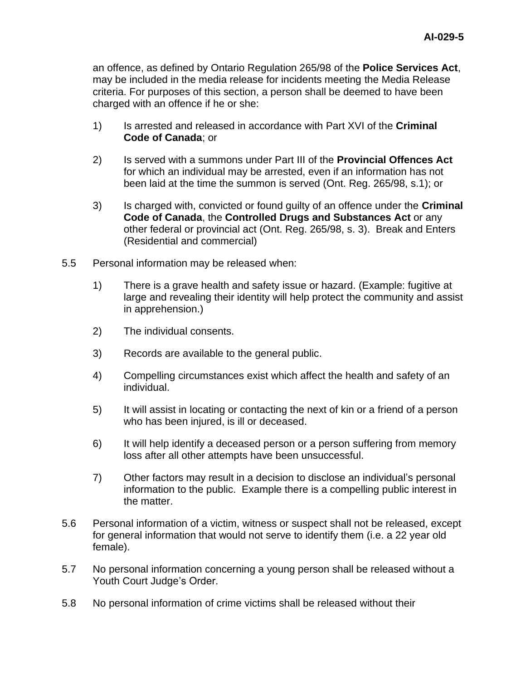an offence, as defined by Ontario Regulation 265/98 of the **Police Services Act**, may be included in the media release for incidents meeting the Media Release criteria. For purposes of this section, a person shall be deemed to have been charged with an offence if he or she:

- 1) Is arrested and released in accordance with Part XVI of the **Criminal Code of Canada**; or
- 2) Is served with a summons under Part III of the **Provincial Offences Act** for which an individual may be arrested, even if an information has not been laid at the time the summon is served (Ont. Reg. 265/98, s.1); or
- 3) Is charged with, convicted or found guilty of an offence under the **Criminal Code of Canada**, the **Controlled Drugs and Substances Act** or any other federal or provincial act (Ont. Reg. 265/98, s. 3). Break and Enters (Residential and commercial)
- 5.5 Personal information may be released when:
	- 1) There is a grave health and safety issue or hazard. (Example: fugitive at large and revealing their identity will help protect the community and assist in apprehension.)
	- 2) The individual consents.
	- 3) Records are available to the general public.
	- 4) Compelling circumstances exist which affect the health and safety of an individual.
	- 5) It will assist in locating or contacting the next of kin or a friend of a person who has been injured, is ill or deceased.
	- 6) It will help identify a deceased person or a person suffering from memory loss after all other attempts have been unsuccessful.
	- 7) Other factors may result in a decision to disclose an individual's personal information to the public. Example there is a compelling public interest in the matter.
- 5.6 Personal information of a victim, witness or suspect shall not be released, except for general information that would not serve to identify them (i.e. a 22 year old female).
- 5.7 No personal information concerning a young person shall be released without a Youth Court Judge's Order.
- 5.8 No personal information of crime victims shall be released without their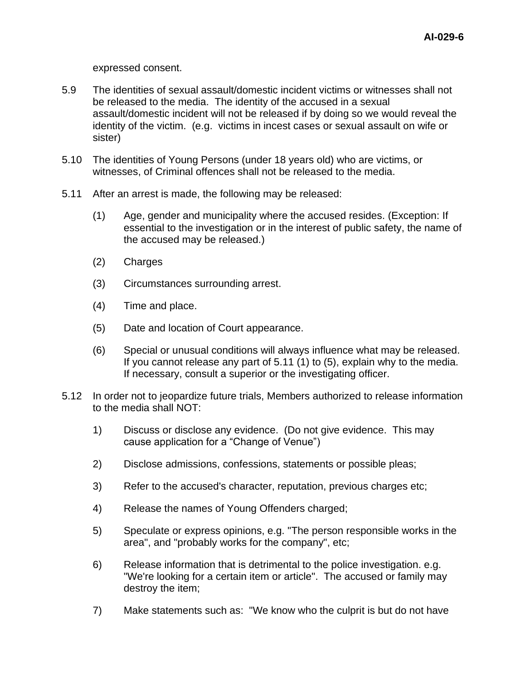expressed consent.

- 5.9 The identities of sexual assault/domestic incident victims or witnesses shall not be released to the media. The identity of the accused in a sexual assault/domestic incident will not be released if by doing so we would reveal the identity of the victim. (e.g. victims in incest cases or sexual assault on wife or sister)
- 5.10 The identities of Young Persons (under 18 years old) who are victims, or witnesses, of Criminal offences shall not be released to the media.
- 5.11 After an arrest is made, the following may be released:
	- (1) Age, gender and municipality where the accused resides. (Exception: If essential to the investigation or in the interest of public safety, the name of the accused may be released.)
	- (2) Charges
	- (3) Circumstances surrounding arrest.
	- (4) Time and place.
	- (5) Date and location of Court appearance.
	- (6) Special or unusual conditions will always influence what may be released. If you cannot release any part of 5.11 (1) to (5), explain why to the media. If necessary, consult a superior or the investigating officer.
- 5.12 In order not to jeopardize future trials, Members authorized to release information to the media shall NOT:
	- 1) Discuss or disclose any evidence. (Do not give evidence. This may cause application for a "Change of Venue")
	- 2) Disclose admissions, confessions, statements or possible pleas;
	- 3) Refer to the accused's character, reputation, previous charges etc;
	- 4) Release the names of Young Offenders charged;
	- 5) Speculate or express opinions, e.g. "The person responsible works in the area", and "probably works for the company", etc;
	- 6) Release information that is detrimental to the police investigation. e.g. "We're looking for a certain item or article". The accused or family may destroy the item;
	- 7) Make statements such as: "We know who the culprit is but do not have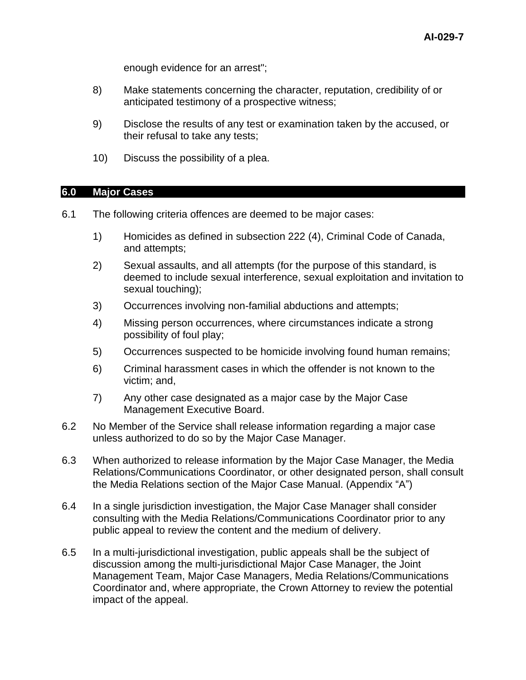enough evidence for an arrest";

- 8) Make statements concerning the character, reputation, credibility of or anticipated testimony of a prospective witness;
- 9) Disclose the results of any test or examination taken by the accused, or their refusal to take any tests;
- 10) Discuss the possibility of a plea.

#### <span id="page-6-0"></span>**6.0 Major Cases**

- 6.1 The following criteria offences are deemed to be major cases:
	- 1) Homicides as defined in subsection 222 (4), Criminal Code of Canada, and attempts;
	- 2) Sexual assaults, and all attempts (for the purpose of this standard, is deemed to include sexual interference, sexual exploitation and invitation to sexual touching);
	- 3) Occurrences involving non-familial abductions and attempts;
	- 4) Missing person occurrences, where circumstances indicate a strong possibility of foul play;
	- 5) Occurrences suspected to be homicide involving found human remains;
	- 6) Criminal harassment cases in which the offender is not known to the victim; and,
	- 7) Any other case designated as a major case by the Major Case Management Executive Board.
- 6.2 No Member of the Service shall release information regarding a major case unless authorized to do so by the Major Case Manager.
- 6.3 When authorized to release information by the Major Case Manager, the Media Relations/Communications Coordinator, or other designated person, shall consult the Media Relations section of the Major Case Manual. (Appendix "A")
- 6.4 In a single jurisdiction investigation, the Major Case Manager shall consider consulting with the Media Relations/Communications Coordinator prior to any public appeal to review the content and the medium of delivery.
- 6.5 In a multi-jurisdictional investigation, public appeals shall be the subject of discussion among the multi-jurisdictional Major Case Manager, the Joint Management Team, Major Case Managers, Media Relations/Communications Coordinator and, where appropriate, the Crown Attorney to review the potential impact of the appeal.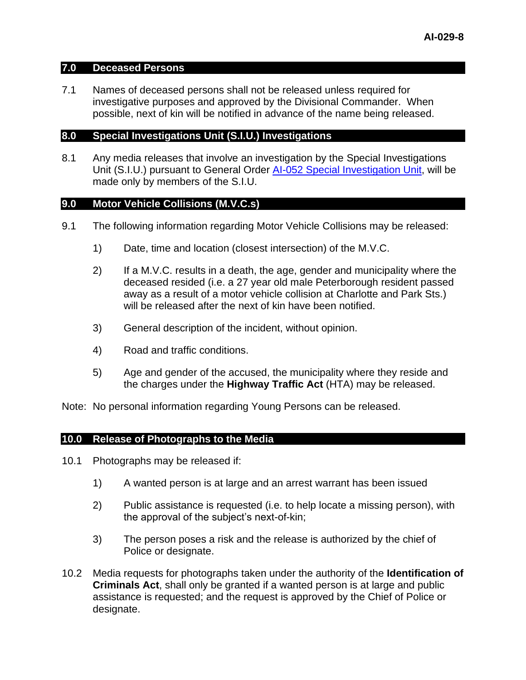#### <span id="page-7-0"></span>**7.0 Deceased Persons**

7.1 Names of deceased persons shall not be released unless required for investigative purposes and approved by the Divisional Commander. When possible, next of kin will be notified in advance of the name being released.

#### <span id="page-7-1"></span>**8.0 Special Investigations Unit (S.I.U.) Investigations**

8.1 Any media releases that involve an investigation by the Special Investigations Unit (S.I.U.) pursuant to General Order [AI-052 Special Investigation Unit,](../../../../../Intranet/General%20Orders/AI/AI-052%20Special%20Investigations%20Unit.pdf) will be made only by members of the S.I.U.

#### <span id="page-7-2"></span>**9.0 Motor Vehicle Collisions (M.V.C.s)**

- 9.1 The following information regarding Motor Vehicle Collisions may be released:
	- 1) Date, time and location (closest intersection) of the M.V.C.
	- 2) If a M.V.C. results in a death, the age, gender and municipality where the deceased resided (i.e. a 27 year old male Peterborough resident passed away as a result of a motor vehicle collision at Charlotte and Park Sts.) will be released after the next of kin have been notified.
	- 3) General description of the incident, without opinion.
	- 4) Road and traffic conditions.
	- 5) Age and gender of the accused, the municipality where they reside and the charges under the **Highway Traffic Act** (HTA) may be released.

Note: No personal information regarding Young Persons can be released.

#### <span id="page-7-3"></span>**10.0 Release of Photographs to the Media**

- 10.1 Photographs may be released if:
	- 1) A wanted person is at large and an arrest warrant has been issued
	- 2) Public assistance is requested (i.e. to help locate a missing person), with the approval of the subject's next-of-kin;
	- 3) The person poses a risk and the release is authorized by the chief of Police or designate.
- 10.2 Media requests for photographs taken under the authority of the **Identification of Criminals Act**, shall only be granted if a wanted person is at large and public assistance is requested; and the request is approved by the Chief of Police or designate.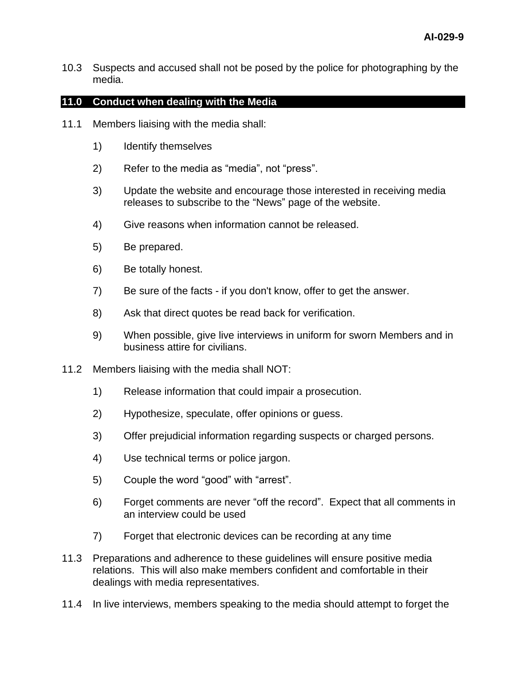10.3 Suspects and accused shall not be posed by the police for photographing by the media.

## <span id="page-8-0"></span>**11.0 Conduct when dealing with the Media**

- 11.1 Members liaising with the media shall:
	- 1) Identify themselves
	- 2) Refer to the media as "media", not "press".
	- 3) Update the website and encourage those interested in receiving media releases to subscribe to the "News" page of the website.
	- 4) Give reasons when information cannot be released.
	- 5) Be prepared.
	- 6) Be totally honest.
	- 7) Be sure of the facts if you don't know, offer to get the answer.
	- 8) Ask that direct quotes be read back for verification.
	- 9) When possible, give live interviews in uniform for sworn Members and in business attire for civilians.
- 11.2 Members liaising with the media shall NOT:
	- 1) Release information that could impair a prosecution.
	- 2) Hypothesize, speculate, offer opinions or guess.
	- 3) Offer prejudicial information regarding suspects or charged persons.
	- 4) Use technical terms or police jargon.
	- 5) Couple the word "good" with "arrest".
	- 6) Forget comments are never "off the record". Expect that all comments in an interview could be used
	- 7) Forget that electronic devices can be recording at any time
- 11.3 Preparations and adherence to these guidelines will ensure positive media relations. This will also make members confident and comfortable in their dealings with media representatives.
- 11.4 In live interviews, members speaking to the media should attempt to forget the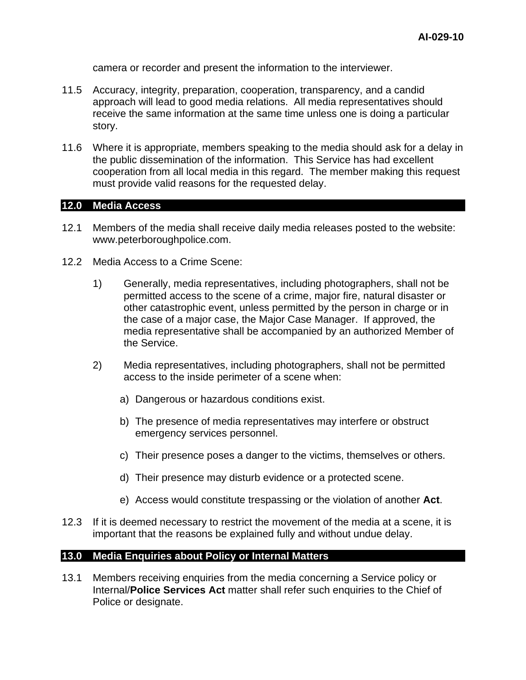camera or recorder and present the information to the interviewer.

- 11.5 Accuracy, integrity, preparation, cooperation, transparency, and a candid approach will lead to good media relations. All media representatives should receive the same information at the same time unless one is doing a particular story.
- 11.6 Where it is appropriate, members speaking to the media should ask for a delay in the public dissemination of the information. This Service has had excellent cooperation from all local media in this regard. The member making this request must provide valid reasons for the requested delay.

#### <span id="page-9-0"></span>**12.0 Media Access**

- 12.1 Members of the media shall receive daily media releases posted to the website: www.peterboroughpolice.com.
- 12.2 Media Access to a Crime Scene:
	- 1) Generally, media representatives, including photographers, shall not be permitted access to the scene of a crime, major fire, natural disaster or other catastrophic event, unless permitted by the person in charge or in the case of a major case, the Major Case Manager. If approved, the media representative shall be accompanied by an authorized Member of the Service.
	- 2) Media representatives, including photographers, shall not be permitted access to the inside perimeter of a scene when:
		- a) Dangerous or hazardous conditions exist.
		- b) The presence of media representatives may interfere or obstruct emergency services personnel.
		- c) Their presence poses a danger to the victims, themselves or others.
		- d) Their presence may disturb evidence or a protected scene.
		- e) Access would constitute trespassing or the violation of another **Act**.
- 12.3 If it is deemed necessary to restrict the movement of the media at a scene, it is important that the reasons be explained fully and without undue delay.

## <span id="page-9-1"></span>**13.0 Media Enquiries about Policy or Internal Matters**

13.1 Members receiving enquiries from the media concerning a Service policy or Internal/**Police Services Act** matter shall refer such enquiries to the Chief of Police or designate.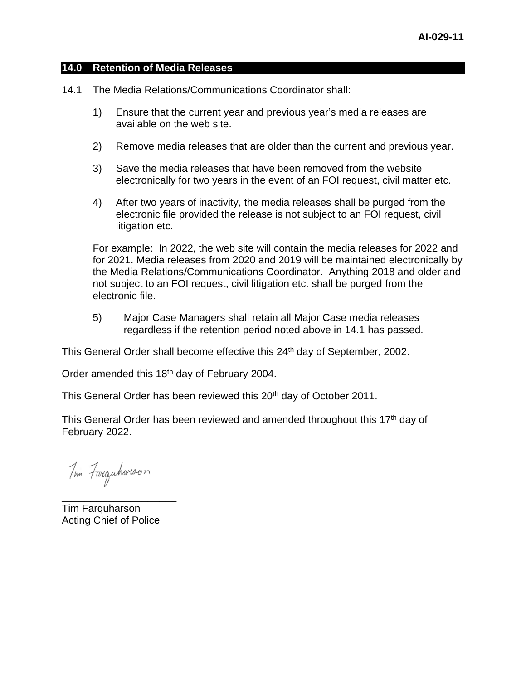#### **14.0 Retention of Media Releases**

- 14.1 The Media Relations/Communications Coordinator shall:
	- 1) Ensure that the current year and previous year's media releases are available on the web site.
	- 2) Remove media releases that are older than the current and previous year.
	- 3) Save the media releases that have been removed from the website electronically for two years in the event of an FOI request, civil matter etc.
	- 4) After two years of inactivity, the media releases shall be purged from the electronic file provided the release is not subject to an FOI request, civil litigation etc.

For example: In 2022, the web site will contain the media releases for 2022 and for 2021. Media releases from 2020 and 2019 will be maintained electronically by the Media Relations/Communications Coordinator. Anything 2018 and older and not subject to an FOI request, civil litigation etc. shall be purged from the electronic file.

5) Major Case Managers shall retain all Major Case media releases regardless if the retention period noted above in 14.1 has passed.

This General Order shall become effective this 24<sup>th</sup> day of September, 2002.

Order amended this 18<sup>th</sup> day of February 2004.

This General Order has been reviewed this 20<sup>th</sup> day of October 2011.

This General Order has been reviewed and amended throughout this 17<sup>th</sup> day of February 2022.

Tim Farquharson

Tim Farquharson Acting Chief of Police

\_\_\_\_\_\_\_\_\_\_\_\_\_\_\_\_\_\_\_\_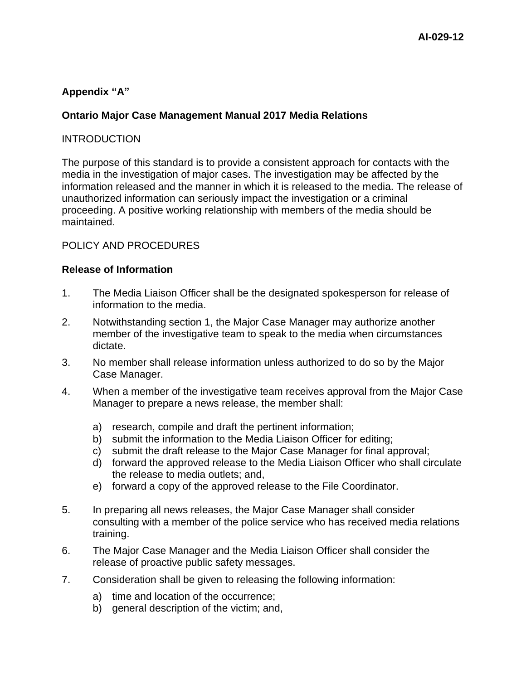# <span id="page-11-0"></span>**Appendix "A"**

## **Ontario Major Case Management Manual 2017 Media Relations**

## INTRODUCTION

The purpose of this standard is to provide a consistent approach for contacts with the media in the investigation of major cases. The investigation may be affected by the information released and the manner in which it is released to the media. The release of unauthorized information can seriously impact the investigation or a criminal proceeding. A positive working relationship with members of the media should be maintained.

## POLICY AND PROCEDURES

#### **Release of Information**

- 1. The Media Liaison Officer shall be the designated spokesperson for release of information to the media.
- 2. Notwithstanding section 1, the Major Case Manager may authorize another member of the investigative team to speak to the media when circumstances dictate.
- 3. No member shall release information unless authorized to do so by the Major Case Manager.
- 4. When a member of the investigative team receives approval from the Major Case Manager to prepare a news release, the member shall:
	- a) research, compile and draft the pertinent information;
	- b) submit the information to the Media Liaison Officer for editing;
	- c) submit the draft release to the Major Case Manager for final approval;
	- d) forward the approved release to the Media Liaison Officer who shall circulate the release to media outlets; and,
	- e) forward a copy of the approved release to the File Coordinator.
- 5. In preparing all news releases, the Major Case Manager shall consider consulting with a member of the police service who has received media relations training.
- 6. The Major Case Manager and the Media Liaison Officer shall consider the release of proactive public safety messages.
- 7. Consideration shall be given to releasing the following information:
	- a) time and location of the occurrence;
	- b) general description of the victim; and,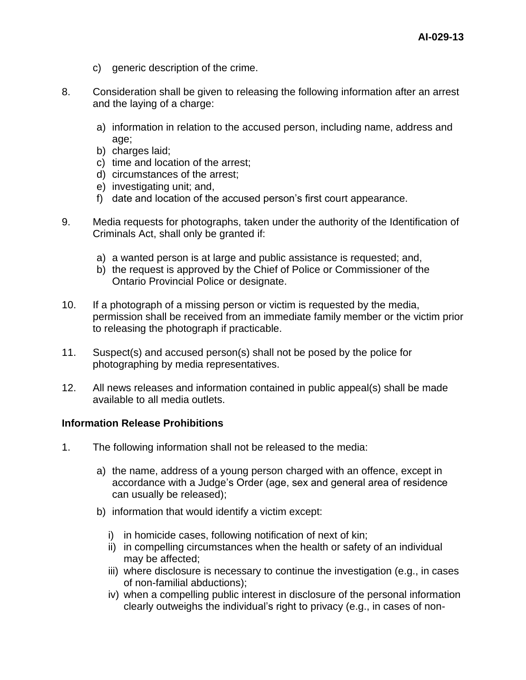- c) generic description of the crime.
- 8. Consideration shall be given to releasing the following information after an arrest and the laying of a charge:
	- a) information in relation to the accused person, including name, address and age;
	- b) charges laid;
	- c) time and location of the arrest;
	- d) circumstances of the arrest;
	- e) investigating unit; and,
	- f) date and location of the accused person's first court appearance.
- 9. Media requests for photographs, taken under the authority of the Identification of Criminals Act, shall only be granted if:
	- a) a wanted person is at large and public assistance is requested; and,
	- b) the request is approved by the Chief of Police or Commissioner of the Ontario Provincial Police or designate.
- 10. If a photograph of a missing person or victim is requested by the media, permission shall be received from an immediate family member or the victim prior to releasing the photograph if practicable.
- 11. Suspect(s) and accused person(s) shall not be posed by the police for photographing by media representatives.
- 12. All news releases and information contained in public appeal(s) shall be made available to all media outlets.

## **Information Release Prohibitions**

- 1. The following information shall not be released to the media:
	- a) the name, address of a young person charged with an offence, except in accordance with a Judge's Order (age, sex and general area of residence can usually be released);
	- b) information that would identify a victim except:
		- i) in homicide cases, following notification of next of kin;
		- ii) in compelling circumstances when the health or safety of an individual may be affected;
		- iii) where disclosure is necessary to continue the investigation (e.g., in cases of non-familial abductions);
		- iv) when a compelling public interest in disclosure of the personal information clearly outweighs the individual's right to privacy (e.g., in cases of non-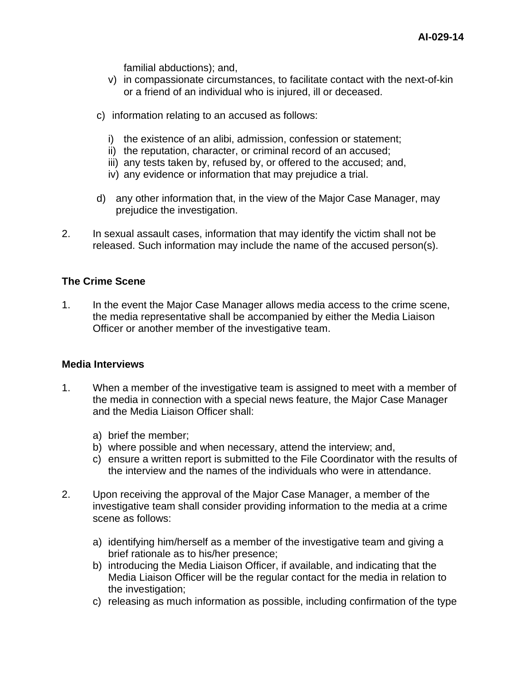familial abductions); and,

- v) in compassionate circumstances, to facilitate contact with the next-of-kin or a friend of an individual who is injured, ill or deceased.
- c) information relating to an accused as follows:
	- i) the existence of an alibi, admission, confession or statement;
	- ii) the reputation, character, or criminal record of an accused;
	- iii) any tests taken by, refused by, or offered to the accused; and,
	- iv) any evidence or information that may prejudice a trial.
- d) any other information that, in the view of the Major Case Manager, may prejudice the investigation.
- 2. In sexual assault cases, information that may identify the victim shall not be released. Such information may include the name of the accused person(s).

## **The Crime Scene**

1. In the event the Major Case Manager allows media access to the crime scene, the media representative shall be accompanied by either the Media Liaison Officer or another member of the investigative team.

## **Media Interviews**

- 1. When a member of the investigative team is assigned to meet with a member of the media in connection with a special news feature, the Major Case Manager and the Media Liaison Officer shall:
	- a) brief the member;
	- b) where possible and when necessary, attend the interview; and,
	- c) ensure a written report is submitted to the File Coordinator with the results of the interview and the names of the individuals who were in attendance.
- 2. Upon receiving the approval of the Major Case Manager, a member of the investigative team shall consider providing information to the media at a crime scene as follows:
	- a) identifying him/herself as a member of the investigative team and giving a brief rationale as to his/her presence;
	- b) introducing the Media Liaison Officer, if available, and indicating that the Media Liaison Officer will be the regular contact for the media in relation to the investigation;
	- c) releasing as much information as possible, including confirmation of the type